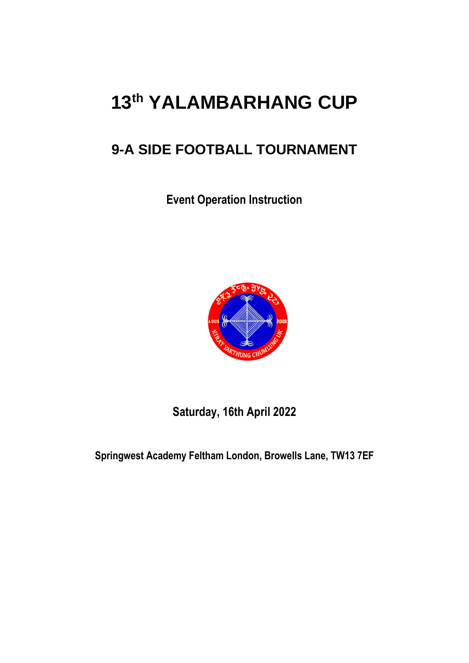# **13 th YALAMBARHANG CUP**

# **9-A SIDE FOOTBALL TOURNAMENT**

**Event Operation Instruction**



**Saturday, 16th April 2022**

**Springwest Academy Feltham London, Browells Lane, TW13 7EF**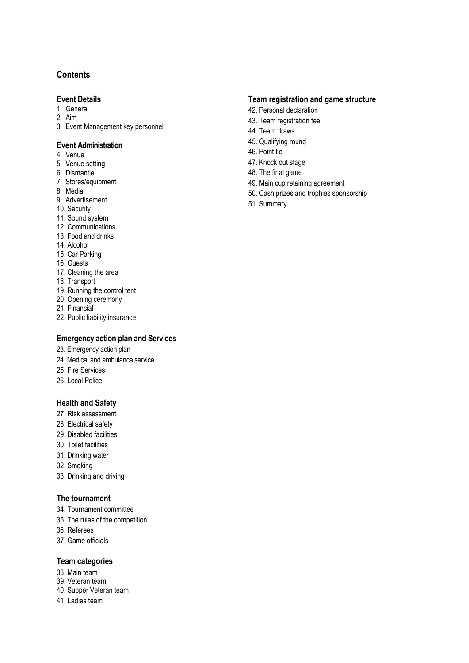#### **Contents**

#### **Event Details**

- 1. General
- 2. Aim
- 3. Event Management key personnel

#### **Event Administration**

- 4. Venue
- 5. Venue setting
- 6. Dismantle
- 7. Stores/equipment
- 8. Media
- 9. Advertisement
- 10. Security
- 11. Sound system
- 12. Communications
- 13. Food and drinks
- 14. Alcohol
- 15. Car Parking
- 16. Guests
- 17. Cleaning the area
- 18. Transport
- 19. Running the control tent
- 20. Opening ceremony
- 21. Financial
- 22. Public liability insurance

#### **Emergency action plan and Services**

- 23. Emergency action plan
- 24. Medical and ambulance service
- 25. Fire Services
- 26. Local Police

#### **Health and Safety**

- 27. Risk assessment
- 28. Electrical safety
- 29. Disabled facilities
- 30. Toilet facilities
- 31. Drinking water
- 32. Smoking
- 33. Drinking and driving

#### **The tournament**

- 34. Tournament committee
- 35. The rules of the competition
- 36. Referees
- 37. Game officials

#### **Team categories**

- 38. Main team
- 39. Veteran team
- 40. Supper Veteran team
- 41. Ladies team

#### **Team registration and game structure**

- 42. Personal declaration
- 43. Team registration fee
- 44. Team draws
- 45. Qualifying round
- 46. Point tie
- 47. Knock out stage
- 48. The final game
- 49. Main cup retaining agreement
- 50. Cash prizes and trophies sponsorship
- 51. Summary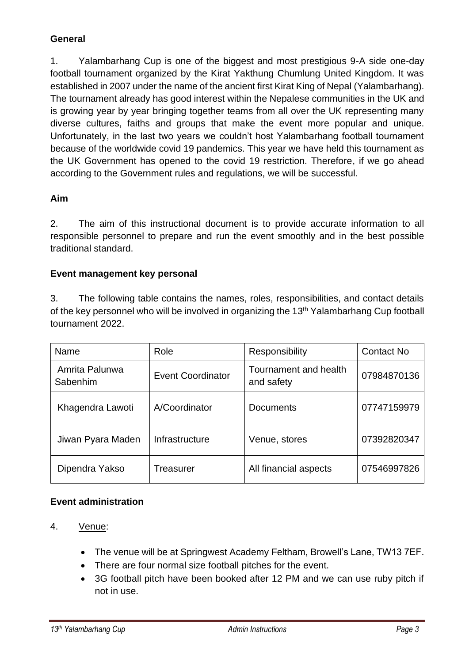#### **General**

1. Yalambarhang Cup is one of the biggest and most prestigious 9-A side one-day football tournament organized by the Kirat Yakthung Chumlung United Kingdom. It was established in 2007 under the name of the ancient first Kirat King of Nepal (Yalambarhang). The tournament already has good interest within the Nepalese communities in the UK and is growing year by year bringing together teams from all over the UK representing many diverse cultures, faiths and groups that make the event more popular and unique. Unfortunately, in the last two years we couldn't host Yalambarhang football tournament because of the worldwide covid 19 pandemics. This year we have held this tournament as the UK Government has opened to the covid 19 restriction. Therefore, if we go ahead according to the Government rules and regulations, we will be successful.

#### **Aim**

2. The aim of this instructional document is to provide accurate information to all responsible personnel to prepare and run the event smoothly and in the best possible traditional standard.

#### **Event management key personal**

3. The following table contains the names, roles, responsibilities, and contact details of the key personnel who will be involved in organizing the 13<sup>th</sup> Yalambarhang Cup football tournament 2022.

| Name                                                   | Role           | Responsibility                      | <b>Contact No</b> |
|--------------------------------------------------------|----------------|-------------------------------------|-------------------|
| Amrita Palunwa<br><b>Event Coordinator</b><br>Sabenhim |                | Tournament and health<br>and safety | 07984870136       |
| Khagendra Lawoti                                       | A/Coordinator  | <b>Documents</b>                    | 07747159979       |
| Jiwan Pyara Maden                                      | Infrastructure | Venue, stores                       | 07392820347       |
| Dipendra Yakso                                         | Treasurer      | All financial aspects               | 07546997826       |

#### **Event administration**

- 4. Venue:
	- The venue will be at Springwest Academy Feltham, Browell's Lane, TW13 7EF.
	- There are four normal size football pitches for the event.
	- 3G football pitch have been booked after 12 PM and we can use ruby pitch if not in use.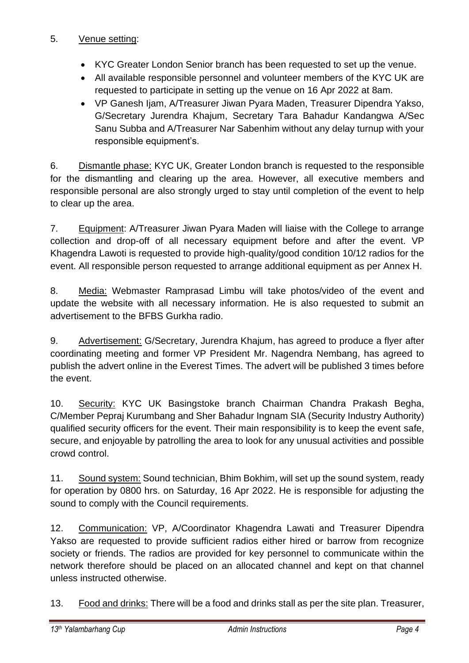#### 5. Venue setting:

- KYC Greater London Senior branch has been requested to set up the venue.
- All available responsible personnel and volunteer members of the KYC UK are requested to participate in setting up the venue on 16 Apr 2022 at 8am.
- VP Ganesh Ijam, A/Treasurer Jiwan Pyara Maden, Treasurer Dipendra Yakso, G/Secretary Jurendra Khajum, Secretary Tara Bahadur Kandangwa A/Sec Sanu Subba and A/Treasurer Nar Sabenhim without any delay turnup with your responsible equipment's.

6. Dismantle phase: KYC UK, Greater London branch is requested to the responsible for the dismantling and clearing up the area. However, all executive members and responsible personal are also strongly urged to stay until completion of the event to help to clear up the area.

7. Equipment: A/Treasurer Jiwan Pyara Maden will liaise with the College to arrange collection and drop-off of all necessary equipment before and after the event. VP Khagendra Lawoti is requested to provide high-quality/good condition 10/12 radios for the event. All responsible person requested to arrange additional equipment as per Annex H.

8. Media: Webmaster Ramprasad Limbu will take photos/video of the event and update the website with all necessary information. He is also requested to submit an advertisement to the BFBS Gurkha radio.

9. Advertisement: G/Secretary, Jurendra Khajum, has agreed to produce a flyer after coordinating meeting and former VP President Mr. Nagendra Nembang, has agreed to publish the advert online in the Everest Times. The advert will be published 3 times before the event.

10. Security: KYC UK Basingstoke branch Chairman Chandra Prakash Begha, C/Member Pepraj Kurumbang and Sher Bahadur Ingnam SIA (Security Industry Authority) qualified security officers for the event. Their main responsibility is to keep the event safe, secure, and enjoyable by patrolling the area to look for any unusual activities and possible crowd control.

11. Sound system: Sound technician, Bhim Bokhim, will set up the sound system, ready for operation by 0800 hrs. on Saturday, 16 Apr 2022. He is responsible for adjusting the sound to comply with the Council requirements.

12. Communication: VP, A/Coordinator Khagendra Lawati and Treasurer Dipendra Yakso are requested to provide sufficient radios either hired or barrow from recognize society or friends. The radios are provided for key personnel to communicate within the network therefore should be placed on an allocated channel and kept on that channel unless instructed otherwise.

13. Food and drinks: There will be a food and drinks stall as per the site plan. Treasurer,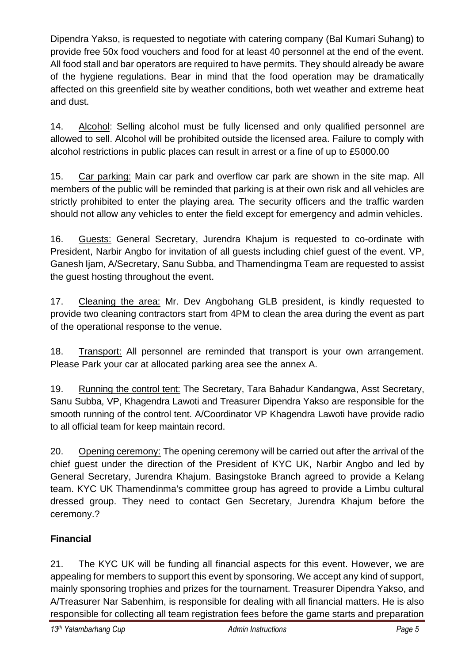Dipendra Yakso, is requested to negotiate with catering company (Bal Kumari Suhang) to provide free 50x food vouchers and food for at least 40 personnel at the end of the event. All food stall and bar operators are required to have permits. They should already be aware of the hygiene regulations. Bear in mind that the food operation may be dramatically affected on this greenfield site by weather conditions, both wet weather and extreme heat and dust.

14. Alcohol: Selling alcohol must be fully licensed and only qualified personnel are allowed to sell. Alcohol will be prohibited outside the licensed area. Failure to comply with alcohol restrictions in public places can result in arrest or a fine of up to £5000.00

15. Car parking: Main car park and overflow car park are shown in the site map. All members of the public will be reminded that parking is at their own risk and all vehicles are strictly prohibited to enter the playing area. The security officers and the traffic warden should not allow any vehicles to enter the field except for emergency and admin vehicles.

16. Guests: General Secretary, Jurendra Khajum is requested to co-ordinate with President, Narbir Angbo for invitation of all guests including chief guest of the event. VP, Ganesh Ijam, A/Secretary, Sanu Subba, and Thamendingma Team are requested to assist the guest hosting throughout the event.

17. Cleaning the area: Mr. Dev Angbohang GLB president, is kindly requested to provide two cleaning contractors start from 4PM to clean the area during the event as part of the operational response to the venue.

18. Transport: All personnel are reminded that transport is your own arrangement. Please Park your car at allocated parking area see the annex A.

19. Running the control tent: The Secretary, Tara Bahadur Kandangwa, Asst Secretary, Sanu Subba, VP, Khagendra Lawoti and Treasurer Dipendra Yakso are responsible for the smooth running of the control tent. A/Coordinator VP Khagendra Lawoti have provide radio to all official team for keep maintain record.

20. Opening ceremony: The opening ceremony will be carried out after the arrival of the chief guest under the direction of the President of KYC UK, Narbir Angbo and led by General Secretary, Jurendra Khajum. Basingstoke Branch agreed to provide a Kelang team. KYC UK Thamendinma's committee group has agreed to provide a Limbu cultural dressed group. They need to contact Gen Secretary, Jurendra Khajum before the ceremony.?

# **Financial**

21. The KYC UK will be funding all financial aspects for this event. However, we are appealing for members to support this event by sponsoring. We accept any kind of support, mainly sponsoring trophies and prizes for the tournament. Treasurer Dipendra Yakso, and A/Treasurer Nar Sabenhim, is responsible for dealing with all financial matters. He is also responsible for collecting all team registration fees before the game starts and preparation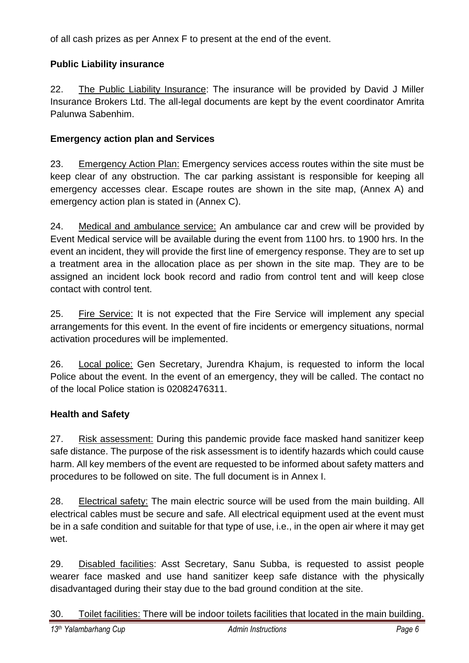of all cash prizes as per Annex F to present at the end of the event.

# **Public Liability insurance**

22. The Public Liability Insurance: The insurance will be provided by David J Miller Insurance Brokers Ltd. The all-legal documents are kept by the event coordinator Amrita Palunwa Sabenhim.

# **Emergency action plan and Services**

23. Emergency Action Plan: Emergency services access routes within the site must be keep clear of any obstruction. The car parking assistant is responsible for keeping all emergency accesses clear. Escape routes are shown in the site map, (Annex A) and emergency action plan is stated in (Annex C).

24. Medical and ambulance service: An ambulance car and crew will be provided by Event Medical service will be available during the event from 1100 hrs. to 1900 hrs. In the event an incident, they will provide the first line of emergency response. They are to set up a treatment area in the allocation place as per shown in the site map. They are to be assigned an incident lock book record and radio from control tent and will keep close contact with control tent.

25. Fire Service: It is not expected that the Fire Service will implement any special arrangements for this event. In the event of fire incidents or emergency situations, normal activation procedures will be implemented.

26. Local police: Gen Secretary, Jurendra Khajum, is requested to inform the local Police about the event. In the event of an emergency, they will be called. The contact no of the local Police station is 02082476311.

# **Health and Safety**

27. Risk assessment: During this pandemic provide face masked hand sanitizer keep safe distance. The purpose of the risk assessment is to identify hazards which could cause harm. All key members of the event are requested to be informed about safety matters and procedures to be followed on site. The full document is in Annex I.

28. Electrical safety: The main electric source will be used from the main building. All electrical cables must be secure and safe. All electrical equipment used at the event must be in a safe condition and suitable for that type of use, i.e., in the open air where it may get wet.

29. Disabled facilities: Asst Secretary, Sanu Subba, is requested to assist people wearer face masked and use hand sanitizer keep safe distance with the physically disadvantaged during their stay due to the bad ground condition at the site.

30. Toilet facilities: There will be indoor toilets facilities that located in the main building.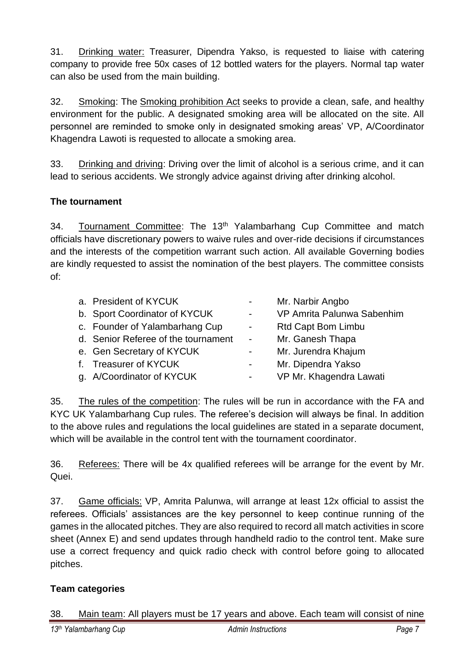31. Drinking water: Treasurer, Dipendra Yakso, is requested to liaise with catering company to provide free 50x cases of 12 bottled waters for the players. Normal tap water can also be used from the main building.

32. Smoking: The [Smoking prohibition Act](http://www.nea.gov.sg/public-health/smoking/smoking-legislation) seeks to provide a clean, safe, and healthy environment for the public. A designated smoking area will be allocated on the site. All personnel are reminded to smoke only in designated smoking areas' VP, A/Coordinator Khagendra Lawoti is requested to allocate a smoking area.

33. Drinking and driving: Driving over the limit of alcohol is a serious crime, and it can lead to serious accidents. We strongly advice against driving after drinking alcohol.

# **The tournament**

34. Tournament Committee: The 13<sup>th</sup> Yalambarhang Cup Committee and match officials have discretionary powers to waive rules and over-ride decisions if circumstances and the interests of the competition warrant such action. All available Governing bodies are kindly requested to assist the nomination of the best players. The committee consists of:

| a. President of KYCUK               | $\sim 100$              | Mr. Narbir Angbo           |
|-------------------------------------|-------------------------|----------------------------|
| b. Sport Coordinator of KYCUK       | $\sim 100$              | VP Amrita Palunwa Sabenhim |
| c. Founder of Yalambarhang Cup      | $\sim 100$              | <b>Rtd Capt Bom Limbu</b>  |
| d. Senior Referee of the tournament | $\sim 100$ km s $^{-1}$ | Mr. Ganesh Thapa           |
| e. Gen Secretary of KYCUK           | $\sim 100$              | Mr. Jurendra Khajum        |
| f. Treasurer of KYCUK               | $\sim 100$              | Mr. Dipendra Yakso         |
| g. A/Coordinator of KYCUK           | $\sim 100$              | VP Mr. Khagendra Lawati    |
|                                     |                         |                            |

35. The rules of the competition: The rules will be run in accordance with the FA and KYC UK Yalambarhang Cup rules. The referee's decision will always be final. In addition to the above rules and regulations the local guidelines are stated in a separate document, which will be available in the control tent with the tournament coordinator.

36. Referees: There will be 4x qualified referees will be arrange for the event by Mr. Quei.

37. Game officials: VP, Amrita Palunwa, will arrange at least 12x official to assist the referees. Officials' assistances are the key personnel to keep continue running of the games in the allocated pitches. They are also required to record all match activities in score sheet (Annex E) and send updates through handheld radio to the control tent. Make sure use a correct frequency and quick radio check with control before going to allocated pitches.

# **Team categories**

38. Main team: All players must be 17 years and above. Each team will consist of nine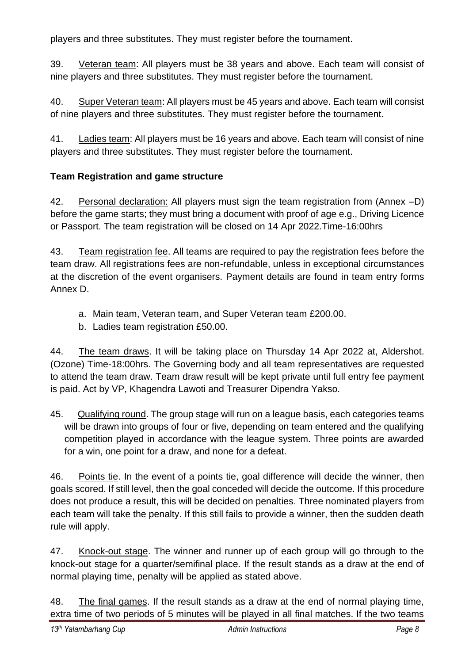players and three substitutes. They must register before the tournament.

39. Veteran team: All players must be 38 years and above. Each team will consist of nine players and three substitutes. They must register before the tournament.

40. Super Veteran team: All players must be 45 years and above. Each team will consist of nine players and three substitutes. They must register before the tournament.

41. Ladies team: All players must be 16 years and above. Each team will consist of nine players and three substitutes. They must register before the tournament.

# **Team Registration and game structure**

42. Personal declaration: All players must sign the team registration from (Annex –D) before the game starts; they must bring a document with proof of age e.g., Driving Licence or Passport. The team registration will be closed on 14 Apr 2022.Time-16:00hrs

43. Team registration fee. All teams are required to pay the registration fees before the team draw. All registrations fees are non-refundable, unless in exceptional circumstances at the discretion of the event organisers. Payment details are found in team entry forms Annex D.

- a. Main team, Veteran team, and Super Veteran team £200.00.
- b. Ladies team registration £50.00.

44. The team draws. It will be taking place on Thursday 14 Apr 2022 at, Aldershot. (Ozone) Time-18:00hrs. The Governing body and all team representatives are requested to attend the team draw. Team draw result will be kept private until full entry fee payment is paid. Act by VP, Khagendra Lawoti and Treasurer Dipendra Yakso.

45. Qualifying round. The group stage will run on a league basis, each categories teams will be drawn into groups of four or five, depending on team entered and the qualifying competition played in accordance with the league system. Three points are awarded for a win, one point for a draw, and none for a defeat.

46. Points tie. In the event of a points tie, goal difference will decide the winner, then goals scored. If still level, then the goal conceded will decide the outcome. If this procedure does not produce a result, this will be decided on penalties. Three nominated players from each team will take the penalty. If this still fails to provide a winner, then the sudden death rule will apply.

47. Knock-out stage. The winner and runner up of each group will go through to the knock-out stage for a quarter/semifinal place. If the result stands as a draw at the end of normal playing time, penalty will be applied as stated above.

48. The final games. If the result stands as a draw at the end of normal playing time, extra time of two periods of 5 minutes will be played in all final matches. If the two teams